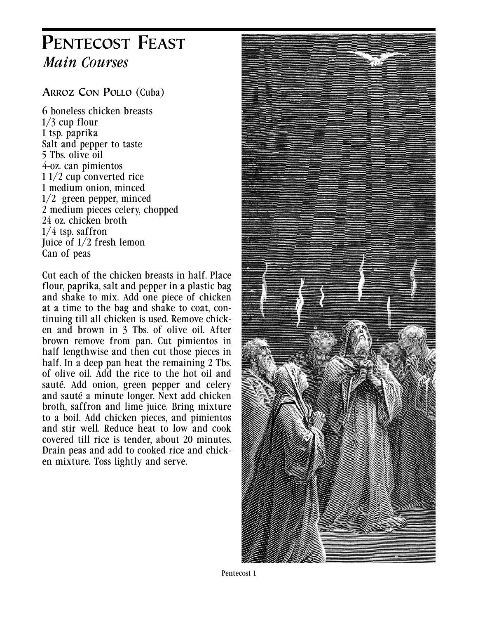#### **ARROZ CON POLLO** (Cuba)

6 boneless chicken breasts  $1/3$  cup flour 1 tsp. paprika Salt and pepper to taste 5 Tbs. olive oil 4-oz. can pimientos 1 1/2 cup converted rice 1 medium onion, minced 1/2 green pepper, minced 2 medium pieces celery, chopped 24 oz. chicken broth  $1/4$  tsp. saffron Juice of 1/2 fresh lemon Can of peas

Cut each of the chicken breasts in half. Place flour, paprika, salt and pepper in a plastic bag and shake to mix. Add one piece of chicken at a time to the bag and shake to coat, continuing till all chicken is used. Remove chicken and brown in 3 Tbs. of olive oil. After brown remove from pan. Cut pimientos in half lengthwise and then cut those pieces in half. In a deep pan heat the remaining 2 Tbs. of olive oil. Add the rice to the hot oil and sauté. Add onion, green pepper and celery and sauté a minute longer. Next add chicken broth, saffron and lime juice. Bring mixture to a boil. Add chicken pieces, and pimientos and stir well. Reduce heat to low and cook covered till rice is tender, about 20 minutes. Drain peas and add to cooked rice and chicken mixture. Toss lightly and serve.



Pentecost 1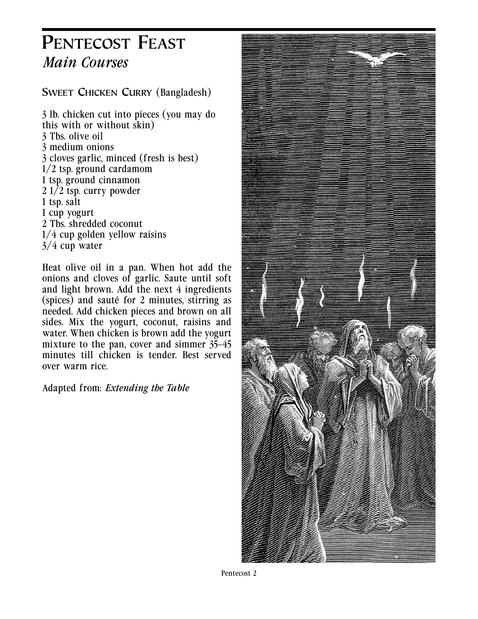**SWEET CHICKEN CURRY** (Bangladesh)

3 lb. chicken cut into pieces (you may do this with or without skin) 3 Tbs. olive oil 3 medium onions 3 cloves garlic, minced (fresh is best) 1/2 tsp. ground cardamom 1 tsp. ground cinnamon 2 1/2 tsp. curry powder 1 tsp. salt 1 cup yogurt 2 Tbs. shredded coconut 1/4 cup golden yellow raisins 3/4 cup water

Heat olive oil in a pan. When hot add the onions and cloves of garlic. Saute until soft and light brown. Add the next 4 ingredients (spices) and sauté for 2 minutes, stirring as needed. Add chicken pieces and brown on all sides. Mix the yogurt, coconut, raisins and water. When chicken is brown add the yogurt mixture to the pan, cover and simmer 35–45 minutes till chicken is tender. Best served over warm rice.

Adapted from: *Extending the Table*

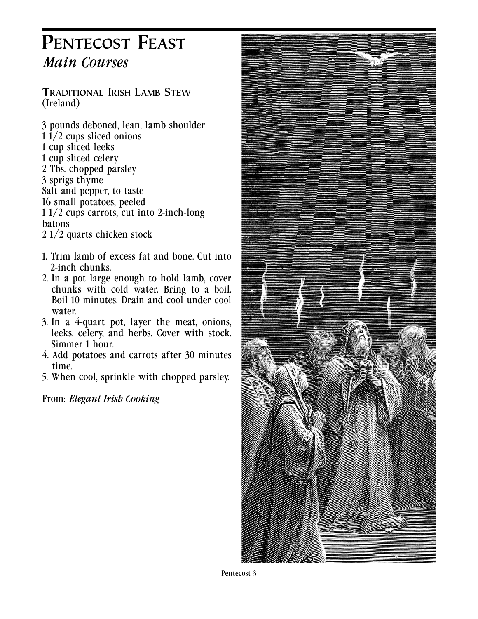**TRADITIONAL IRISH LAMB STEW** (Ireland)

3 pounds deboned, lean, lamb shoulder  $1 \overline{1}/2$  cups sliced onions 1 cup sliced leeks 1 cup sliced celery 2 Tbs. chopped parsley 3 sprigs thyme Salt and pepper, to taste 16 small potatoes, peeled 1 1/2 cups carrots, cut into 2-inch-long batons 2 1/2 quarts chicken stock

- 1. Trim lamb of excess fat and bone. Cut into 2-inch chunks.
- 2. In a pot large enough to hold lamb, cover chunks with cold water. Bring to a boil. Boil 10 minutes. Drain and cool under cool water.
- 3. In a 4-quart pot, layer the meat, onions, leeks, celery, and herbs. Cover with stock. Simmer 1 hour.
- 4. Add potatoes and carrots after 30 minutes time.
- 5. When cool, sprinkle with chopped parsley.

From: *Elegant Irish Cooking*



Pentecost 3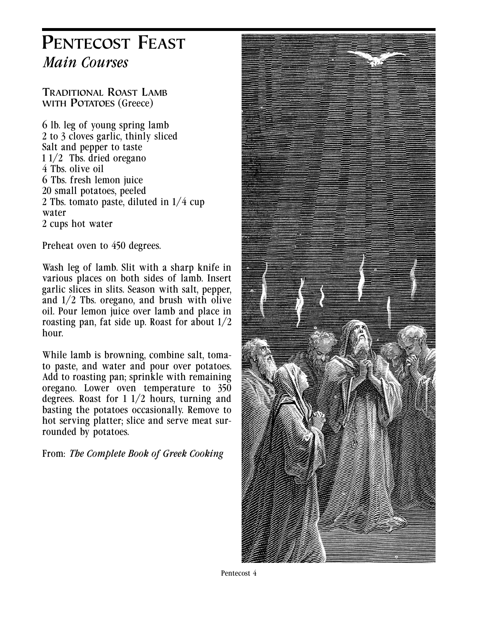**TRADITIONAL ROAST LAMB WITH POTATOES** (Greece)

6 lb. leg of young spring lamb 2 to 3 cloves garlic, thinly sliced Salt and pepper to taste 1 1/2 Tbs. dried oregano 4 Tbs. olive oil 6 Tbs. fresh lemon juice 20 small potatoes, peeled 2 Tbs. tomato paste, diluted in 1/4 cup water 2 cups hot water

Preheat oven to 450 degrees.

Wash leg of lamb. Slit with a sharp knife in various places on both sides of lamb. Insert garlic slices in slits. Season with salt, pepper, and 1/2 Tbs. oregano, and brush with olive oil. Pour lemon juice over lamb and place in roasting pan, fat side up. Roast for about 1/2 hour.

While lamb is browning, combine salt, tomato paste, and water and pour over potatoes. Add to roasting pan; sprinkle with remaining oregano. Lower oven temperature to 350 degrees. Roast for 1 1/2 hours, turning and basting the potatoes occasionally. Remove to hot serving platter; slice and serve meat surrounded by potatoes.

From: *The Complete Book of Greek Cooking*



Pentecost 4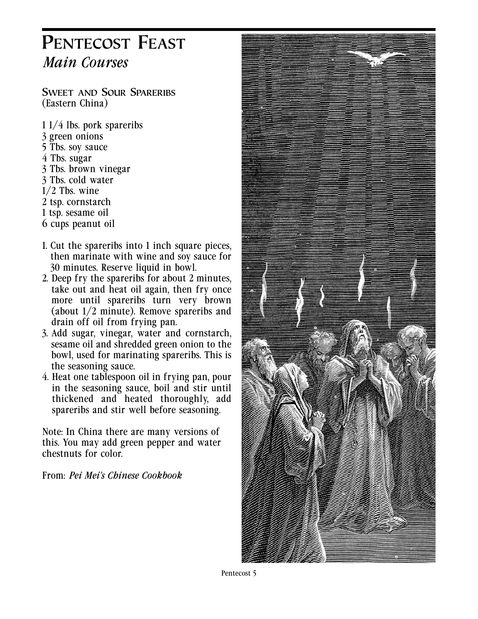**SWEET AND SOUR SPARERIBS** (Eastern China)

- 1 1/4 lbs. pork spareribs 3 green onions 5 Tbs. soy sauce 4 Tbs. sugar 3 Tbs. brown vinegar 3 Tbs. cold water  $1/2$  Tbs. wine 2 tsp. cornstarch 1 tsp. sesame oil 6 cups peanut oil
- 1. Cut the spareribs into 1 inch square pieces, then marinate with wine and soy sauce for 30 minutes. Reserve liquid in bowl.
- 2. Deep fry the spareribs for about 2 minutes, take out and heat oil again, then fry once more until spareribs turn very brown (about 1/2 minute). Remove spareribs and drain off oil from frying pan.
- 3. Add sugar, vinegar, water and cornstarch, sesame oil and shredded green onion to the bowl, used for marinating spareribs. This is the seasoning sauce.
- 4. Heat one tablespoon oil in frying pan, pour in the seasoning sauce, boil and stir until thickened and heated thoroughly, add spareribs and stir well before seasoning.

Note: In China there are many versions of this. You may add green pepper and water chestnuts for color.

From: *Pei Mei's Chinese Cookbook*



Pentecost 5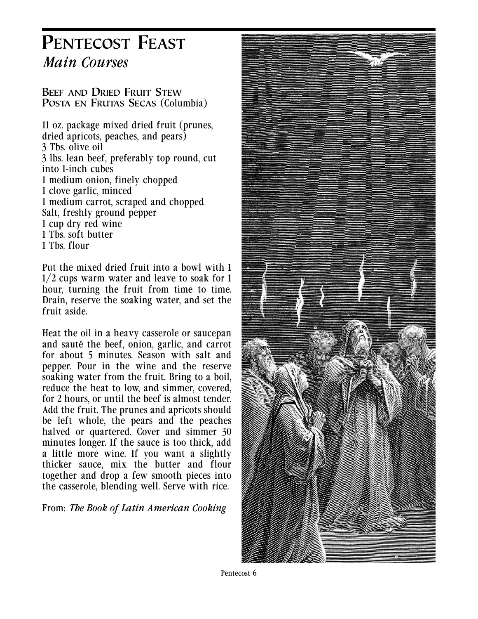**BEEF AND DRIED FRUIT STEW POSTA EN FRUTAS SECAS** (Columbia)

11 oz. package mixed dried fruit (prunes, dried apricots, peaches, and pears) 3 Tbs. olive oil 3 lbs. lean beef, preferably top round, cut into 1-inch cubes 1 medium onion, finely chopped 1 clove garlic, minced 1 medium carrot, scraped and chopped Salt, freshly ground pepper 1 cup dry red wine 1 Tbs. soft butter 1 Tbs. flour

Put the mixed dried fruit into a bowl with 1 1/2 cups warm water and leave to soak for 1 hour, turning the fruit from time to time. Drain, reserve the soaking water, and set the fruit aside.

Heat the oil in a heavy casserole or saucepan and sauté the beef, onion, garlic, and carrot for about 5 minutes. Season with salt and pepper. Pour in the wine and the reserve soaking water from the fruit. Bring to a boil, reduce the heat to low, and simmer, covered, for 2 hours, or until the beef is almost tender. Add the fruit. The prunes and apricots should be left whole, the pears and the peaches halved or quartered. Cover and simmer 30 minutes longer. If the sauce is too thick, add a little more wine. If you want a slightly thicker sauce, mix the butter and flour together and drop a few smooth pieces into the casserole, blending well. Serve with rice.

From: *The Book of Latin American Cooking*



Pentecost 6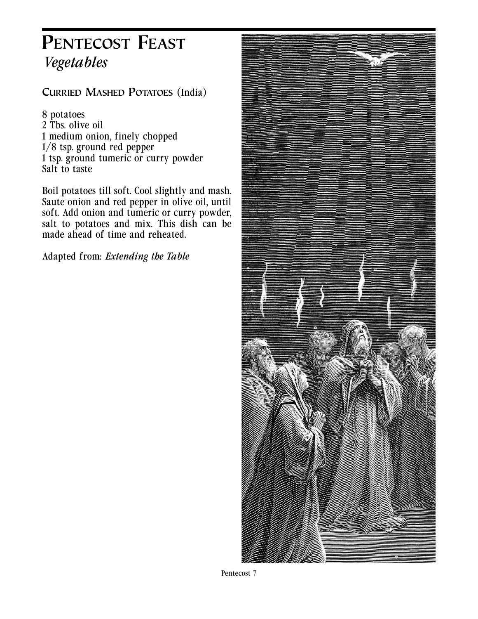#### **CURRIED MASHED POTATOES** (India)

8 potatoes 2 Tbs. olive oil 1 medium onion, finely chopped 1/8 tsp. ground red pepper 1 tsp. ground tumeric or curry powder Salt to taste

Boil potatoes till soft. Cool slightly and mash. Saute onion and red pepper in olive oil, until soft. Add onion and tumeric or curry powder, salt to potatoes and mix. This dish can be made ahead of time and reheated.

Adapted from: *Extending the Table*



Pentecost 7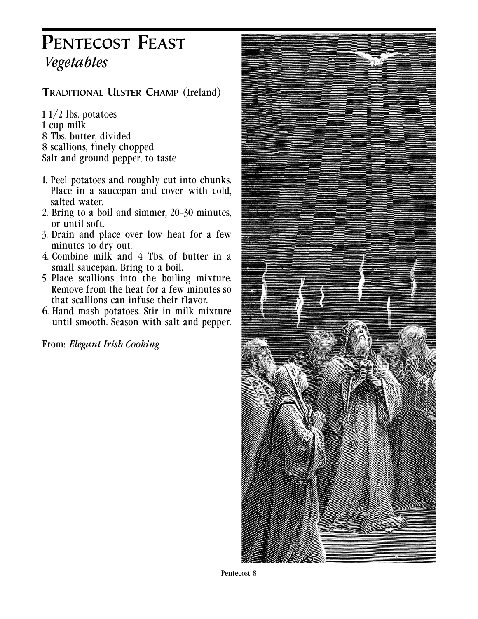**TRADITIONAL ULSTER CHAMP** (Ireland)

 $11/2$  lbs. potatoes 1 cup milk 8 Tbs. butter, divided 8 scallions, finely chopped Salt and ground pepper, to taste

- 1. Peel potatoes and roughly cut into chunks. Place in a saucepan and cover with cold, salted water.
- 2. Bring to a boil and simmer, 20–30 minutes, or until soft.
- 3. Drain and place over low heat for a few minutes to dry out.
- 4. Combine milk and 4 Tbs. of butter in a small saucepan. Bring to a boil.
- 5. Place scallions into the boiling mixture. Remove from the heat for a few minutes so that scallions can infuse their flavor.
- 6. Hand mash potatoes. Stir in milk mixture until smooth. Season with salt and pepper.

From: *Elegant Irish Cooking*

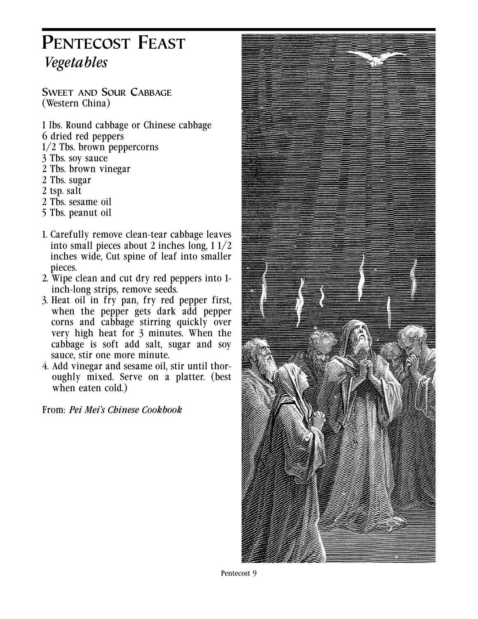**SWEET AND SOUR CABBAGE** (Western China)

1 lbs. Round cabbage or Chinese cabbage 6 dried red peppers 1/2 Tbs. brown peppercorns 3 Tbs. soy sauce 2 Tbs. brown vinegar 2 Tbs. sugar 2 tsp. salt

- 
- 2 Tbs. sesame oil
- 5 Tbs. peanut oil
- 1. Carefully remove clean-tear cabbage leaves into small pieces about 2 inches long, 1 1/2 inches wide, Cut spine of leaf into smaller pieces.
- 2. Wipe clean and cut dry red peppers into 1 inch-long strips, remove seeds.
- 3. Heat oil in fry pan, fry red pepper first, when the pepper gets dark add pepper corns and cabbage stirring quickly over very high heat for 3 minutes. When the cabbage is soft add salt, sugar and soy sauce, stir one more minute.
- 4. Add vinegar and sesame oil, stir until thoroughly mixed. Serve on a platter. (best when eaten cold.)

From: *Pei Mei's Chinese Cookbook*



Pentecost 9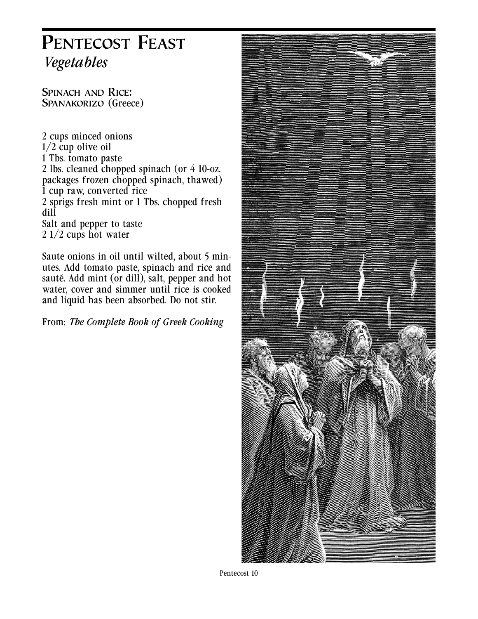**SPINACH AND RICE: SPANAKORIZO** (Greece)

2 cups minced onions  $1/2$  cup olive oil 1 Tbs. tomato paste 2 lbs. cleaned chopped spinach (or 4 10-oz. packages frozen chopped spinach, thawed) 1 cup raw, converted rice 2 sprigs fresh mint or 1 Tbs. chopped fresh dill Salt and pepper to taste 2 1/2 cups hot water

Saute onions in oil until wilted, about 5 minutes. Add tomato paste, spinach and rice and sauté. Add mint (or dill), salt, pepper and hot water, cover and simmer until rice is cooked and liquid has been absorbed. Do not stir.

From: *The Complete Book of Greek Cooking*

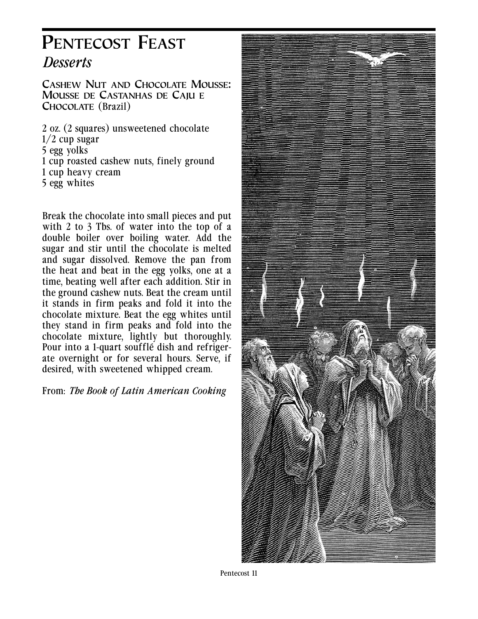# **PENTECOST FEAST**

#### *Desserts*

**CASHEW NUT AND CHOCOLATE MOUSSE: MOUSSE DE CASTANHAS DE CAJU E CHOCOLATE** (Brazil)

2 oz. (2 squares) unsweetened chocolate  $1/2$  cup sugar 5 egg yolks 1 cup roasted cashew nuts, finely ground 1 cup heavy cream 5 egg whites

Break the chocolate into small pieces and put with 2 to 3 Tbs. of water into the top of a double boiler over boiling water. Add the sugar and stir until the chocolate is melted and sugar dissolved. Remove the pan from the heat and beat in the egg yolks, one at a time, beating well after each addition. Stir in the ground cashew nuts. Beat the cream until it stands in firm peaks and fold it into the chocolate mixture. Beat the egg whites until they stand in firm peaks and fold into the chocolate mixture, lightly but thoroughly. Pour into a 1-quart soufflé dish and refrigerate overnight or for several hours. Serve, if desired, with sweetened whipped cream.

From: *The Book of Latin American Cooking*

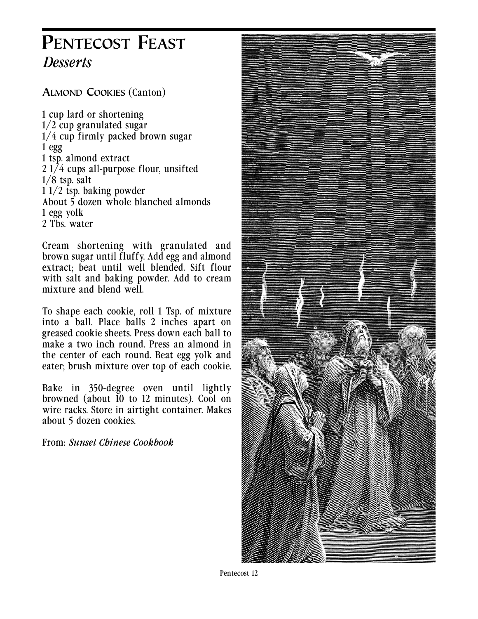#### **PENTECOST FEAST** *Desserts*

**ALMOND COOKIES** (Canton)

1 cup lard or shortening  $1/2$  cup granulated sugar 1/4 cup firmly packed brown sugar 1 egg 1 tsp. almond extract 2 1/4 cups all-purpose flour, unsifted  $1/8$  tsp. salt 1 1/2 tsp. baking powder About 5 dozen whole blanched almonds 1 egg yolk 2 Tbs. water

Cream shortening with granulated and brown sugar until fluffy. Add egg and almond extract; beat until well blended. Sift flour with salt and baking powder. Add to cream mixture and blend well.

To shape each cookie, roll 1 Tsp. of mixture into a ball. Place balls 2 inches apart on greased cookie sheets. Press down each ball to make a two inch round. Press an almond in the center of each round. Beat egg yolk and eater; brush mixture over top of each cookie.

Bake in 350-degree oven until lightly browned (about 10 to 12 minutes). Cool on wire racks. Store in airtight container. Makes about 5 dozen cookies.

From: *Sunset Chinese Cookbook*



Pentecost 12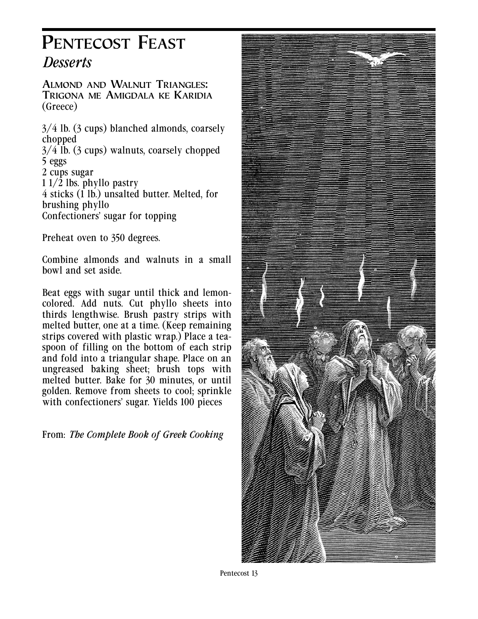# **PENTECOST FEAST**

#### *Desserts*

**ALMOND AND WALNUT TRIANGLES: TRIGONA ME AMIGDALA KE KARIDIA** (Greece)

3/4 lb. (3 cups) blanched almonds, coarsely chopped  $3/4$  lb. (3 cups) walnuts, coarsely chopped 5 eggs 2 cups sugar  $11/2$  lbs. phyllo pastry 4 sticks (1 lb.) unsalted butter. Melted, for brushing phyllo Confectioners' sugar for topping

Preheat oven to 350 degrees.

Combine almonds and walnuts in a small bowl and set aside.

Beat eggs with sugar until thick and lemoncolored. Add nuts. Cut phyllo sheets into thirds lengthwise. Brush pastry strips with melted butter, one at a time. (Keep remaining strips covered with plastic wrap.) Place a teaspoon of filling on the bottom of each strip and fold into a triangular shape. Place on an ungreased baking sheet; brush tops with melted butter. Bake for 30 minutes, or until golden. Remove from sheets to cool; sprinkle with confectioners' sugar. Yields 100 pieces

From: *The Complete Book of Greek Cooking*



Pentecost 13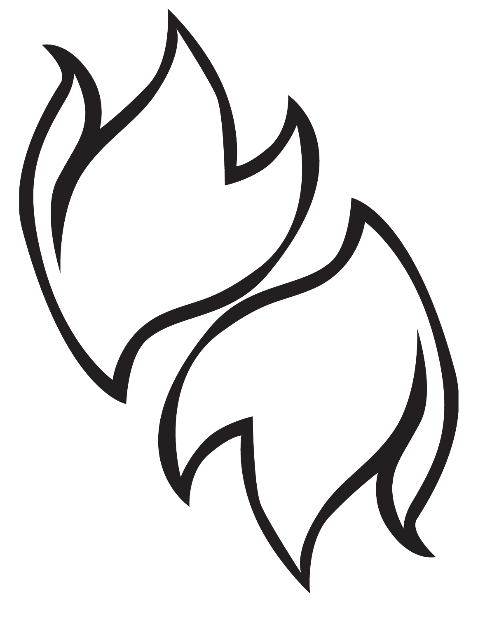